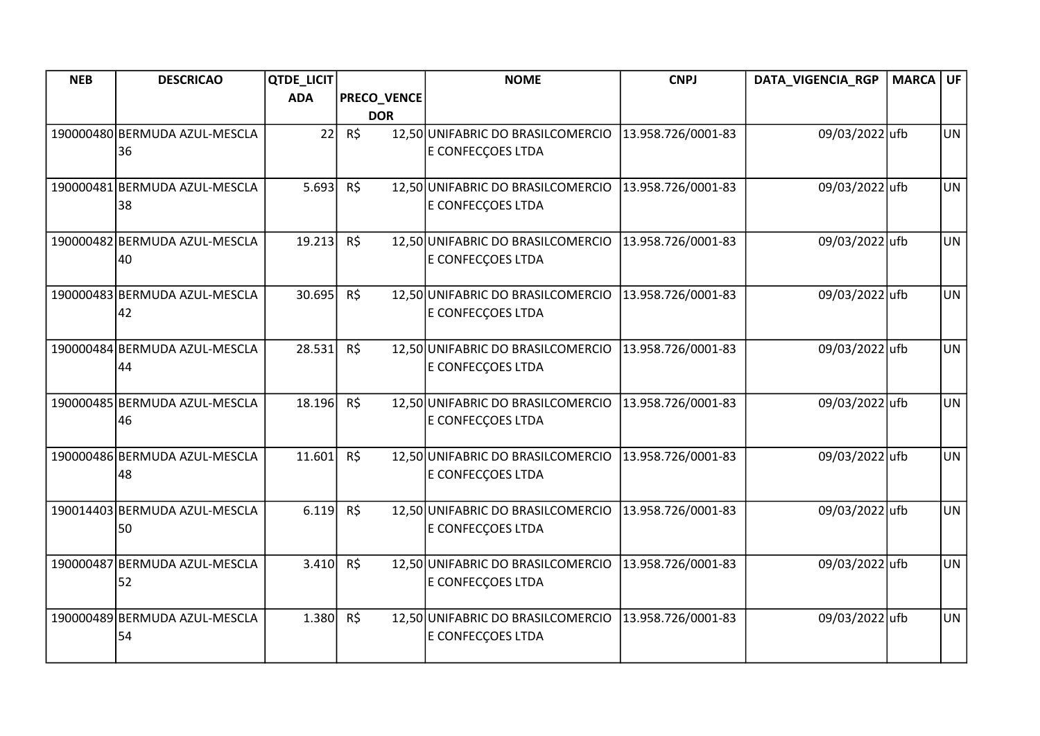| <b>NEB</b> | <b>DESCRICAO</b>                    | QTDE_LICIT |             | <b>NOME</b>                       | <b>CNPJ</b>        | DATA_VIGENCIA_RGP | <b>MARCA UF</b> |           |
|------------|-------------------------------------|------------|-------------|-----------------------------------|--------------------|-------------------|-----------------|-----------|
|            |                                     | <b>ADA</b> | PRECO_VENCE |                                   |                    |                   |                 |           |
|            |                                     |            | <b>DOR</b>  |                                   |                    |                   |                 |           |
|            | 190000480 BERMUDA AZUL-MESCLA       | 22         | R\$         | 12,50 UNIFABRIC DO BRASILCOMERCIO | 13.958.726/0001-83 | 09/03/2022 ufb    |                 | <b>UN</b> |
|            | 36                                  |            |             | E CONFECÇOES LTDA                 |                    |                   |                 |           |
|            |                                     |            |             |                                   |                    |                   |                 |           |
|            | 190000481 BERMUDA AZUL-MESCLA<br>38 | 5.693      | R\$         | 12,50 UNIFABRIC DO BRASILCOMERCIO | 13.958.726/0001-83 | 09/03/2022 ufb    |                 | <b>UN</b> |
|            |                                     |            |             | E CONFECÇOES LTDA                 |                    |                   |                 |           |
|            | 190000482 BERMUDA AZUL-MESCLA       | 19.213     | R\$         | 12,50 UNIFABRIC DO BRASILCOMERCIO | 13.958.726/0001-83 | 09/03/2022 ufb    |                 | UN        |
|            | 40                                  |            |             | E CONFECÇOES LTDA                 |                    |                   |                 |           |
|            |                                     |            |             |                                   |                    |                   |                 |           |
|            | 190000483 BERMUDA AZUL-MESCLA       | 30.695     | $R\zeta$    | 12,50 UNIFABRIC DO BRASILCOMERCIO | 13.958.726/0001-83 | 09/03/2022 ufb    |                 | <b>UN</b> |
|            | 42                                  |            |             | E CONFECÇOES LTDA                 |                    |                   |                 |           |
|            | 190000484 BERMUDA AZUL-MESCLA       | 28.531     | R\$         | 12,50 UNIFABRIC DO BRASILCOMERCIO | 13.958.726/0001-83 | 09/03/2022 ufb    |                 | <b>UN</b> |
|            | 44                                  |            |             | E CONFECÇOES LTDA                 |                    |                   |                 |           |
|            |                                     |            |             |                                   |                    |                   |                 |           |
|            | 190000485 BERMUDA AZUL-MESCLA       | 18.196     | R\$         | 12,50 UNIFABRIC DO BRASILCOMERCIO | 13.958.726/0001-83 | 09/03/2022 ufb    |                 | <b>UN</b> |
|            | 46                                  |            |             | E CONFECÇOES LTDA                 |                    |                   |                 |           |
|            | 190000486 BERMUDA AZUL-MESCLA       | 11.601     | R\$         | 12,50 UNIFABRIC DO BRASILCOMERCIO | 13.958.726/0001-83 | 09/03/2022 ufb    |                 | <b>UN</b> |
|            | 48                                  |            |             | E CONFECÇOES LTDA                 |                    |                   |                 |           |
|            |                                     |            |             |                                   |                    |                   |                 |           |
|            | 190014403 BERMUDA AZUL-MESCLA       | 6.119      | R\$         | 12,50 UNIFABRIC DO BRASILCOMERCIO | 13.958.726/0001-83 | 09/03/2022 ufb    |                 | UN        |
|            | 50                                  |            |             | E CONFECÇOES LTDA                 |                    |                   |                 |           |
|            | 190000487 BERMUDA AZUL-MESCLA       | 3.410      | $R\zeta$    | 12,50 UNIFABRIC DO BRASILCOMERCIO | 13.958.726/0001-83 | 09/03/2022 ufb    |                 | <b>UN</b> |
|            | 52                                  |            |             | E CONFECÇOES LTDA                 |                    |                   |                 |           |
|            |                                     |            |             |                                   |                    |                   |                 |           |
|            | 190000489 BERMUDA AZUL-MESCLA       | 1.380      | $R\zeta$    | 12,50 UNIFABRIC DO BRASILCOMERCIO | 13.958.726/0001-83 | 09/03/2022 ufb    |                 | <b>UN</b> |
|            | 54                                  |            |             | E CONFECÇOES LTDA                 |                    |                   |                 |           |
|            |                                     |            |             |                                   |                    |                   |                 |           |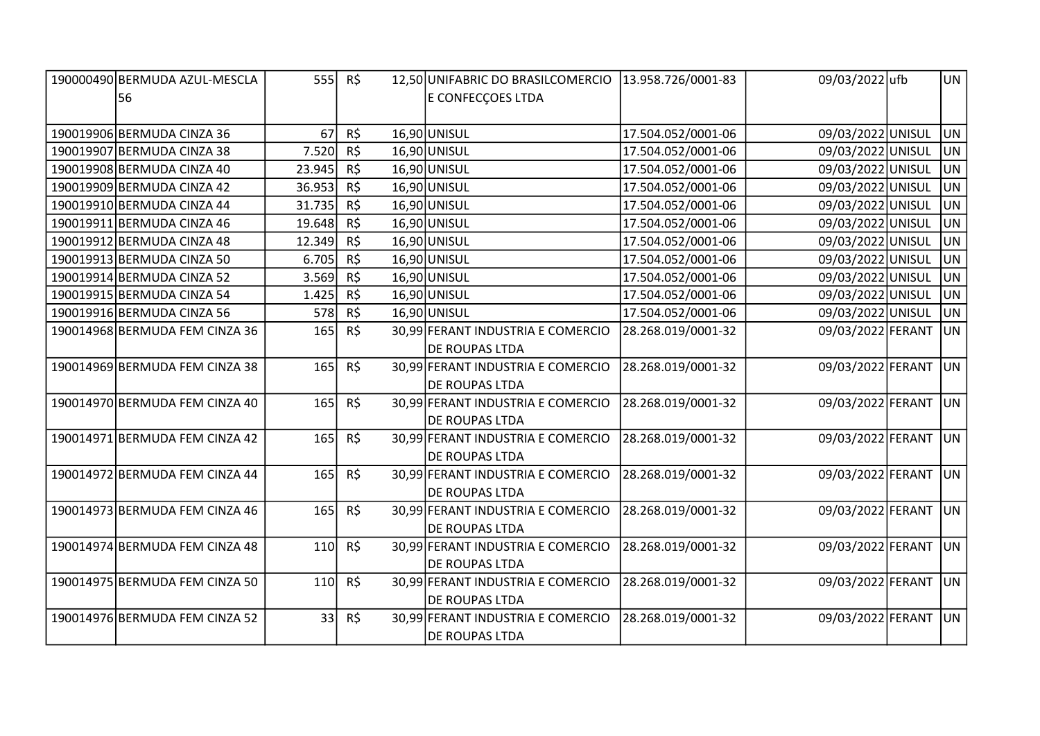| 190000490 BERMUDA AZUL-MESCLA  | 555    | R\$      | 12,50 UNIFABRIC DO BRASILCOMERCIO | 13.958.726/0001-83 | 09/03/2022 ufb    | UN             |
|--------------------------------|--------|----------|-----------------------------------|--------------------|-------------------|----------------|
| 56                             |        |          | E CONFECÇOES LTDA                 |                    |                   |                |
|                                |        |          |                                   |                    |                   |                |
| 190019906 BERMUDA CINZA 36     | 67     | R\$      | 16,90 UNISUL                      | 17.504.052/0001-06 | 09/03/2022 UNISUL | UN.            |
| 190019907 BERMUDA CINZA 38     | 7.520  | R\$      | 16,90 UNISUL                      | 17.504.052/0001-06 | 09/03/2022 UNISUL | UN.            |
| 190019908 BERMUDA CINZA 40     | 23.945 | R\$      | 16,90 UNISUL                      | 17.504.052/0001-06 | 09/03/2022 UNISUL | UN <sub></sub> |
| 190019909 BERMUDA CINZA 42     | 36.953 | R\$      | 16,90 UNISUL                      | 17.504.052/0001-06 | 09/03/2022 UNISUL | UN             |
| 190019910 BERMUDA CINZA 44     | 31.735 | R\$      | 16,90 UNISUL                      | 17.504.052/0001-06 | 09/03/2022 UNISUL | <b>UN</b>      |
| 190019911 BERMUDA CINZA 46     | 19.648 | R\$      | 16,90 UNISUL                      | 17.504.052/0001-06 | 09/03/2022 UNISUL | <b>JUN</b>     |
| 190019912 BERMUDA CINZA 48     | 12.349 | R\$      | 16,90 UNISUL                      | 17.504.052/0001-06 | 09/03/2022 UNISUL | UN             |
| 190019913 BERMUDA CINZA 50     | 6.705  | R\$      | 16,90 UNISUL                      | 17.504.052/0001-06 | 09/03/2022 UNISUL | UN.            |
| 190019914 BERMUDA CINZA 52     | 3.569  | R\$      | 16,90 UNISUL                      | 17.504.052/0001-06 | 09/03/2022 UNISUL | UN <sub></sub> |
| 190019915 BERMUDA CINZA 54     | 1.425  | R\$      | 16,90 UNISUL                      | 17.504.052/0001-06 | 09/03/2022 UNISUL | UN.            |
| 190019916 BERMUDA CINZA 56     | 578    | R\$      | 16,90 UNISUL                      | 17.504.052/0001-06 | 09/03/2022 UNISUL | UN.            |
| 190014968 BERMUDA FEM CINZA 36 | 165    | $R\zeta$ | 30,99 FERANT INDUSTRIA E COMERCIO | 28.268.019/0001-32 | 09/03/2022 FERANT | <b>JUN</b>     |
|                                |        |          | DE ROUPAS LTDA                    |                    |                   |                |
| 190014969 BERMUDA FEM CINZA 38 | 165    | R\$      | 30,99 FERANT INDUSTRIA E COMERCIO | 28.268.019/0001-32 | 09/03/2022 FERANT | UN             |
|                                |        |          | DE ROUPAS LTDA                    |                    |                   |                |
| 190014970 BERMUDA FEM CINZA 40 | 165    | $R\zeta$ | 30,99 FERANT INDUSTRIA E COMERCIO | 28.268.019/0001-32 | 09/03/2022 FERANT | U <sub>N</sub> |
|                                |        |          | <b>DE ROUPAS LTDA</b>             |                    |                   |                |
| 190014971 BERMUDA FEM CINZA 42 | 165    | $R\zeta$ | 30,99 FERANT INDUSTRIA E COMERCIO | 28.268.019/0001-32 | 09/03/2022 FERANT | UN             |
|                                |        |          | DE ROUPAS LTDA                    |                    |                   |                |
| 190014972 BERMUDA FEM CINZA 44 | 165    | R\$      | 30,99 FERANT INDUSTRIA E COMERCIO | 28.268.019/0001-32 | 09/03/2022 FERANT | UN             |
|                                |        |          | <b>DE ROUPAS LTDA</b>             |                    |                   |                |
| 190014973 BERMUDA FEM CINZA 46 | 165    | R\$      | 30,99 FERANT INDUSTRIA E COMERCIO | 28.268.019/0001-32 | 09/03/2022 FERANT | UN             |
|                                |        |          | <b>DE ROUPAS LTDA</b>             |                    |                   |                |
| 190014974 BERMUDA FEM CINZA 48 | 110    | R\$      | 30,99 FERANT INDUSTRIA E COMERCIO | 28.268.019/0001-32 | 09/03/2022 FERANT | UN             |
|                                |        |          | DE ROUPAS LTDA                    |                    |                   |                |
| 190014975 BERMUDA FEM CINZA 50 | 110    | R\$      | 30,99 FERANT INDUSTRIA E COMERCIO | 28.268.019/0001-32 | 09/03/2022 FERANT | UN             |
|                                |        |          | <b>DE ROUPAS LTDA</b>             |                    |                   |                |
| 190014976 BERMUDA FEM CINZA 52 | 33     | R\$      | 30,99 FERANT INDUSTRIA E COMERCIO | 28.268.019/0001-32 | 09/03/2022 FERANT | UN             |
|                                |        |          | DE ROUPAS LTDA                    |                    |                   |                |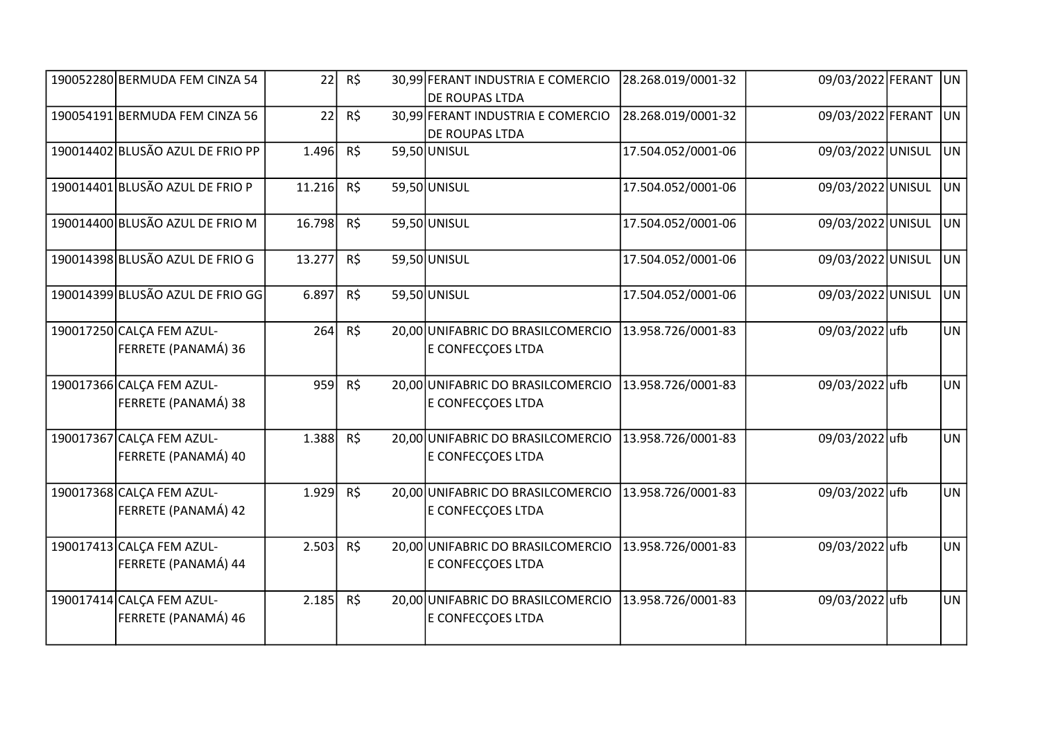| 190052280 BERMUDA FEM CINZA 54                   | 22     | R\$      | 30,99 FERANT INDUSTRIA E COMERCIO<br>DE ROUPAS LTDA    | 28.268.019/0001-32 | 09/03/2022 FERANT | U <sub>N</sub> |
|--------------------------------------------------|--------|----------|--------------------------------------------------------|--------------------|-------------------|----------------|
| 190054191 BERMUDA FEM CINZA 56                   | 22     | R\$      | 30,99 FERANT INDUSTRIA E COMERCIO<br>DE ROUPAS LTDA    | 28.268.019/0001-32 | 09/03/2022 FERANT | U <sub>N</sub> |
| 190014402 BLUSÃO AZUL DE FRIO PP                 | 1.496  | R\$      | 59,50 UNISUL                                           | 17.504.052/0001-06 | 09/03/2022 UNISUL | lun            |
| 190014401 BLUSÃO AZUL DE FRIO P                  | 11.216 | R\$      | 59,50 UNISUL                                           | 17.504.052/0001-06 | 09/03/2022 UNISUL | UN.            |
| 190014400 BLUSÃO AZUL DE FRIO M                  | 16.798 | R\$      | 59,50 UNISUL                                           | 17.504.052/0001-06 | 09/03/2022 UNISUL | UN.            |
| 190014398 BLUSÃO AZUL DE FRIO G                  | 13.277 | $R\zeta$ | 59,50 UNISUL                                           | 17.504.052/0001-06 | 09/03/2022 UNISUL | <b>UN</b>      |
| 190014399 BLUSÃO AZUL DE FRIO GG                 | 6.897  | $R\zeta$ | 59,50 UNISUL                                           | 17.504.052/0001-06 | 09/03/2022 UNISUL | UN.            |
| 190017250 CALCA FEM AZUL-<br>FERRETE (PANAMÁ) 36 | 264    | R\$      | 20,00 UNIFABRIC DO BRASILCOMERCIO<br>E CONFECÇOES LTDA | 13.958.726/0001-83 | 09/03/2022 ufb    | <b>UN</b>      |
| 190017366 CALCA FEM AZUL-<br>FERRETE (PANAMÁ) 38 | 959    | R\$      | 20,00 UNIFABRIC DO BRASILCOMERCIO<br>E CONFECÇOES LTDA | 13.958.726/0001-83 | 09/03/2022 ufb    | <b>UN</b>      |
| 190017367 CALCA FEM AZUL-<br>FERRETE (PANAMÁ) 40 | 1.388  | R\$      | 20,00 UNIFABRIC DO BRASILCOMERCIO<br>E CONFECÇOES LTDA | 13.958.726/0001-83 | 09/03/2022 ufb    | UN             |
| 190017368 CALCA FEM AZUL-<br>FERRETE (PANAMÁ) 42 | 1.929  | R\$      | 20,00 UNIFABRIC DO BRASILCOMERCIO<br>E CONFECÇOES LTDA | 13.958.726/0001-83 | 09/03/2022 ufb    | <b>UN</b>      |
| 190017413 CALCA FEM AZUL-<br>FERRETE (PANAMÁ) 44 | 2.503  | R\$      | 20,00 UNIFABRIC DO BRASILCOMERCIO<br>E CONFECÇOES LTDA | 13.958.726/0001-83 | 09/03/2022 ufb    | <b>UN</b>      |
| 190017414 CALCA FEM AZUL-<br>FERRETE (PANAMÁ) 46 | 2.185  | R\$      | 20,00 UNIFABRIC DO BRASILCOMERCIO<br>E CONFECÇOES LTDA | 13.958.726/0001-83 | 09/03/2022 ufb    | <b>UN</b>      |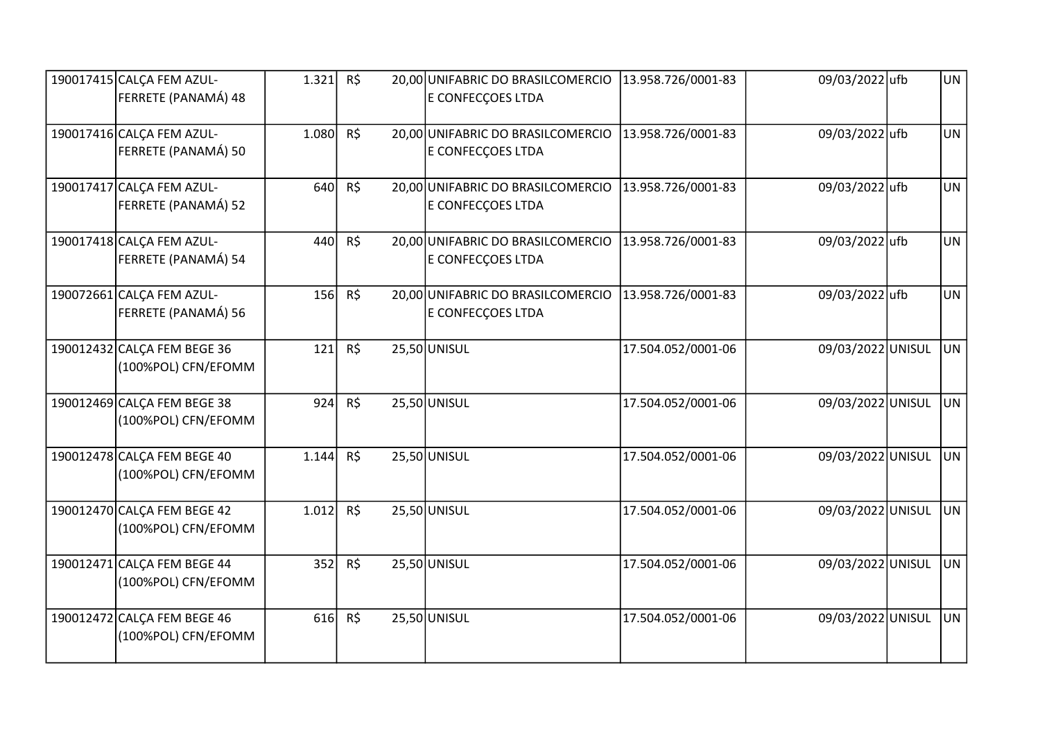| 190017415 CALCA FEM AZUL-   | 1.321 | R\$ | 20,00 UNIFABRIC DO BRASILCOMERCIO | 13.958.726/0001-83 | 09/03/2022 ufb    | <b>UN</b> |
|-----------------------------|-------|-----|-----------------------------------|--------------------|-------------------|-----------|
| FERRETE (PANAMÁ) 48         |       |     | E CONFECÇOES LTDA                 |                    |                   |           |
| 190017416 CALCA FEM AZUL-   | 1.080 | R\$ | 20,00 UNIFABRIC DO BRASILCOMERCIO | 13.958.726/0001-83 | 09/03/2022 ufb    | <b>UN</b> |
| FERRETE (PANAMÁ) 50         |       |     | E CONFECÇOES LTDA                 |                    |                   |           |
| 190017417 CALCA FEM AZUL-   | 640   | R\$ | 20,00 UNIFABRIC DO BRASILCOMERCIO | 13.958.726/0001-83 | 09/03/2022 ufb    | <b>UN</b> |
| FERRETE (PANAMÁ) 52         |       |     | E CONFECÇOES LTDA                 |                    |                   |           |
| 190017418 CALCA FEM AZUL-   | 440   | R\$ | 20,00 UNIFABRIC DO BRASILCOMERCIO | 13.958.726/0001-83 | 09/03/2022 ufb    | <b>UN</b> |
| FERRETE (PANAMÁ) 54         |       |     | E CONFECÇOES LTDA                 |                    |                   |           |
| 190072661 CALCA FEM AZUL-   | 156   | R\$ | 20,00 UNIFABRIC DO BRASILCOMERCIO | 13.958.726/0001-83 | 09/03/2022 ufb    | <b>UN</b> |
| FERRETE (PANAMÁ) 56         |       |     | E CONFECÇOES LTDA                 |                    |                   |           |
| 190012432 CALCA FEM BEGE 36 | 121   | R\$ | 25,50 UNISUL                      | 17.504.052/0001-06 | 09/03/2022 UNISUL | UN.       |
| (100%POL) CFN/EFOMM         |       |     |                                   |                    |                   |           |
| 190012469 CALCA FEM BEGE 38 | 924   | R\$ | $25,50$ UNISUL                    | 17.504.052/0001-06 | 09/03/2022 UNISUL | UN.       |
| (100%POL) CFN/EFOMM         |       |     |                                   |                    |                   |           |
| 190012478 CALCA FEM BEGE 40 | 1.144 | R\$ | 25,50 UNISUL                      | 17.504.052/0001-06 | 09/03/2022 UNISUL | UN.       |
| (100%POL) CFN/EFOMM         |       |     |                                   |                    |                   |           |
| 190012470 CALCA FEM BEGE 42 | 1.012 | R\$ | $25,50$ UNISUL                    | 17.504.052/0001-06 | 09/03/2022 UNISUL | UN.       |
| (100%POL) CFN/EFOMM         |       |     |                                   |                    |                   |           |
| 190012471 CALCA FEM BEGE 44 | 352   | R\$ | 25,50 UNISUL                      | 17.504.052/0001-06 | 09/03/2022 UNISUL | UN.       |
| (100%POL) CFN/EFOMM         |       |     |                                   |                    |                   |           |
| 190012472 CALCA FEM BEGE 46 | 616   | R\$ | $25,50$ UNISUL                    | 17.504.052/0001-06 | 09/03/2022 UNISUL | UN.       |
| (100%POL) CFN/EFOMM         |       |     |                                   |                    |                   |           |
|                             |       |     |                                   |                    |                   |           |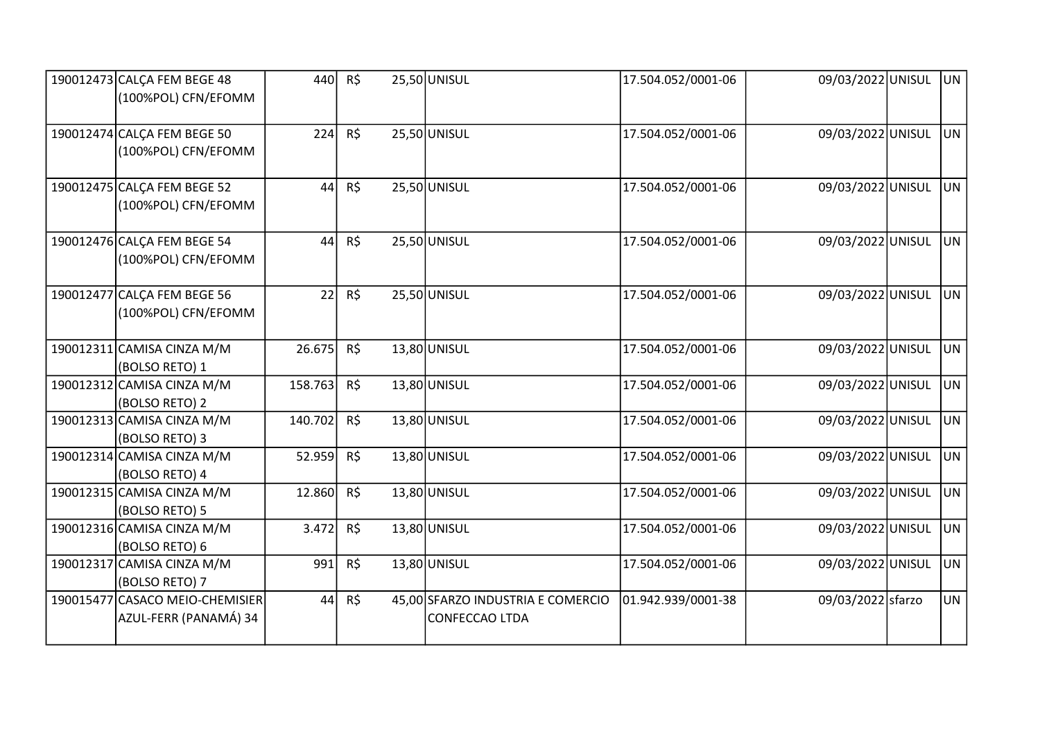| 190012473 CALCA FEM BEGE 48<br>(100%POL) CFN/EFOMM       | 440     | R\$      | 25,50 UNISUL                                        | 17.504.052/0001-06 | 09/03/2022 UNISUL | UN.       |
|----------------------------------------------------------|---------|----------|-----------------------------------------------------|--------------------|-------------------|-----------|
| 190012474 CALCA FEM BEGE 50<br>(100%POL) CFN/EFOMM       | 224     | R\$      | $25,50$ UNISUL                                      | 17.504.052/0001-06 | 09/03/2022 UNISUL | <b>UN</b> |
| 190012475 CALCA FEM BEGE 52<br>(100%POL) CFN/EFOMM       | 44      | R\$      | 25,50 UNISUL                                        | 17.504.052/0001-06 | 09/03/2022 UNISUL | <b>UN</b> |
| 190012476 CALCA FEM BEGE 54<br>(100%POL) CFN/EFOMM       | 44      | R\$      | $25,50$ UNISUL                                      | 17.504.052/0001-06 | 09/03/2022 UNISUL | <b>UN</b> |
| 190012477 CALCA FEM BEGE 56<br>(100%POL) CFN/EFOMM       | 22      | R\$      | 25,50 UNISUL                                        | 17.504.052/0001-06 | 09/03/2022 UNISUL | <b>UN</b> |
| 190012311 CAMISA CINZA M/M<br>(BOLSO RETO) 1             | 26.675  | R\$      | 13,80 UNISUL                                        | 17.504.052/0001-06 | 09/03/2022 UNISUL | <b>UN</b> |
| 190012312 CAMISA CINZA M/M<br>(BOLSO RETO) 2             | 158.763 | R\$      | 13,80 UNISUL                                        | 17.504.052/0001-06 | 09/03/2022 UNISUL | <b>UN</b> |
| 190012313 CAMISA CINZA M/M<br>(BOLSO RETO) 3             | 140.702 | R\$      | 13,80 UNISUL                                        | 17.504.052/0001-06 | 09/03/2022 UNISUL | <b>UN</b> |
| 190012314 CAMISA CINZA M/M<br>(BOLSO RETO) 4             | 52.959  | R\$      | 13,80 UNISUL                                        | 17.504.052/0001-06 | 09/03/2022 UNISUL | <b>UN</b> |
| 190012315 CAMISA CINZA M/M<br>(BOLSO RETO) 5             | 12.860  | R\$      | $13,80$ UNISUL                                      | 17.504.052/0001-06 | 09/03/2022 UNISUL | <b>UN</b> |
| 190012316 CAMISA CINZA M/M<br>(BOLSO RETO) 6             | 3.472   | $R\zeta$ | $13,80$ UNISUL                                      | 17.504.052/0001-06 | 09/03/2022 UNISUL | <b>UN</b> |
| 190012317 CAMISA CINZA M/M<br>(BOLSO RETO) 7             | 991     | R\$      | $13,80$ UNISUL                                      | 17.504.052/0001-06 | 09/03/2022 UNISUL | <b>UN</b> |
| 190015477 CASACO MEIO-CHEMISIER<br>AZUL-FERR (PANAMÁ) 34 | 44      | R\$      | 45,00 SFARZO INDUSTRIA E COMERCIO<br>CONFECCAO LTDA | 01.942.939/0001-38 | 09/03/2022 sfarzo | <b>UN</b> |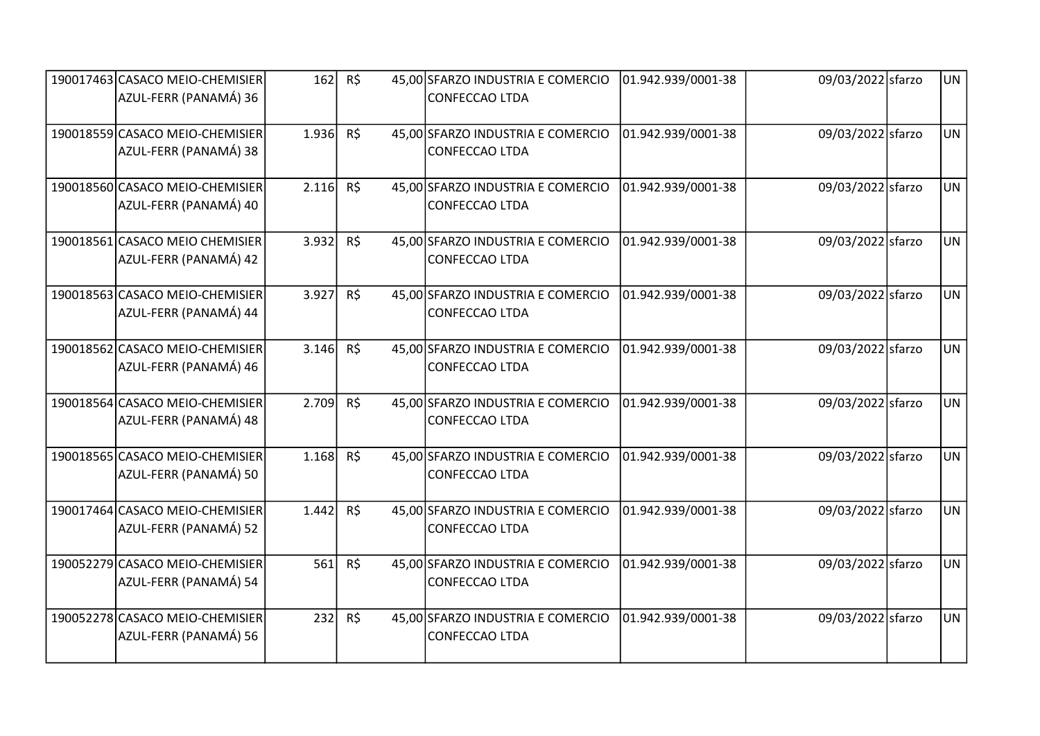| 190017463 CASACO MEIO-CHEMISIER<br>AZUL-FERR (PANAMÁ) 36 | 162   | R\$      | 45,00 SFARZO INDUSTRIA E COMERCIO<br>CONFECCAO LTDA        | 01.942.939/0001-38 | 09/03/2022 sfarzo | <b>UN</b> |
|----------------------------------------------------------|-------|----------|------------------------------------------------------------|--------------------|-------------------|-----------|
| 190018559 CASACO MEIO-CHEMISIER<br>AZUL-FERR (PANAMÁ) 38 | 1.936 | R\$      | 45,00 SFARZO INDUSTRIA E COMERCIO<br>CONFECCAO LTDA        | 01.942.939/0001-38 | 09/03/2022 sfarzo | UN        |
| 190018560 CASACO MEIO-CHEMISIER<br>AZUL-FERR (PANAMÁ) 40 | 2.116 | $R\zeta$ | 45,00 SFARZO INDUSTRIA E COMERCIO<br>CONFECCAO LTDA        | 01.942.939/0001-38 | 09/03/2022 sfarzo | <b>UN</b> |
| 190018561 CASACO MEIO CHEMISIER<br>AZUL-FERR (PANAMÁ) 42 | 3.932 | R\$      | 45,00 SFARZO INDUSTRIA E COMERCIO<br>CONFECCAO LTDA        | 01.942.939/0001-38 | 09/03/2022 sfarzo | <b>UN</b> |
| 190018563 CASACO MEIO-CHEMISIER<br>AZUL-FERR (PANAMÁ) 44 | 3.927 | R\$      | 45,00 SFARZO INDUSTRIA E COMERCIO<br>CONFECCAO LTDA        | 01.942.939/0001-38 | 09/03/2022 sfarzo | <b>UN</b> |
| 190018562 CASACO MEIO-CHEMISIER<br>AZUL-FERR (PANAMÁ) 46 | 3.146 | $R\zeta$ | 45,00 SFARZO INDUSTRIA E COMERCIO<br>CONFECCAO LTDA        | 01.942.939/0001-38 | 09/03/2022 sfarzo | <b>UN</b> |
| 190018564 CASACO MEIO-CHEMISIER<br>AZUL-FERR (PANAMÁ) 48 | 2.709 | R\$      | 45,00 SFARZO INDUSTRIA E COMERCIO<br>CONFECCAO LTDA        | 01.942.939/0001-38 | 09/03/2022 sfarzo | UN        |
| 190018565 CASACO MEIO-CHEMISIER<br>AZUL-FERR (PANAMÁ) 50 | 1.168 | R\$      | 45,00 SFARZO INDUSTRIA E COMERCIO<br>CONFECCAO LTDA        | 01.942.939/0001-38 | 09/03/2022 sfarzo | <b>UN</b> |
| 190017464 CASACO MEIO-CHEMISIER<br>AZUL-FERR (PANAMÁ) 52 | 1.442 | R\$      | 45,00 SFARZO INDUSTRIA E COMERCIO<br>CONFECCAO LTDA        | 01.942.939/0001-38 | 09/03/2022 sfarzo | <b>UN</b> |
| 190052279 CASACO MEIO-CHEMISIER<br>AZUL-FERR (PANAMÁ) 54 | 561   | $R\zeta$ | 45,00 SFARZO INDUSTRIA E COMERCIO<br>CONFECCAO LTDA        | 01.942.939/0001-38 | 09/03/2022 sfarzo | <b>UN</b> |
| 190052278 CASACO MEIO-CHEMISIER<br>AZUL-FERR (PANAMÁ) 56 | 232   | $R\zeta$ | 45,00 SFARZO INDUSTRIA E COMERCIO<br><b>CONFECCAO LTDA</b> | 01.942.939/0001-38 | 09/03/2022 sfarzo | <b>UN</b> |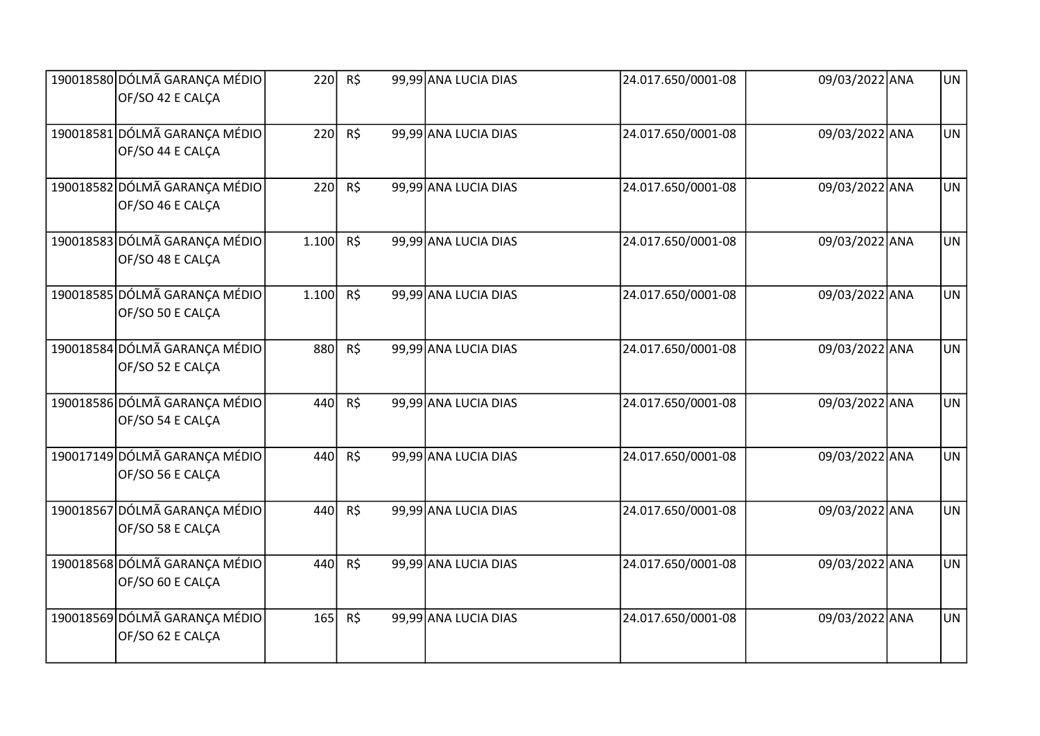| 190018580 DÓLMÃ GARANÇA MÉDIO<br>OF/SO 42 E CALÇA | 220   | R\$      | 99,99 ANA LUCIA DIAS | 24.017.650/0001-08 | 09/03/2022 ANA | <b>UN</b> |
|---------------------------------------------------|-------|----------|----------------------|--------------------|----------------|-----------|
| 190018581 DÓLMÃ GARANÇA MÉDIO<br>OF/SO 44 E CALÇA | 220   | $R\zeta$ | 99,99 ANA LUCIA DIAS | 24.017.650/0001-08 | 09/03/2022 ANA | <b>UN</b> |
| 190018582 DÓLMÃ GARANÇA MÉDIO<br>OF/SO 46 E CALÇA | 220   | R\$      | 99,99 ANA LUCIA DIAS | 24.017.650/0001-08 | 09/03/2022 ANA | <b>UN</b> |
| 190018583 DÓLMÃ GARANÇA MÉDIO<br>OF/SO 48 E CALCA | 1.100 | R\$      | 99,99 ANA LUCIA DIAS | 24.017.650/0001-08 | 09/03/2022 ANA | <b>UN</b> |
| 190018585 DÓLMÃ GARANÇA MÉDIO<br>OF/SO 50 E CALÇA | 1.100 | R\$      | 99,99 ANA LUCIA DIAS | 24.017.650/0001-08 | 09/03/2022 ANA | <b>UN</b> |
| 190018584 DÓLMÃ GARANÇA MÉDIO<br>OF/SO 52 E CALCA | 880   | $R\zeta$ | 99,99 ANA LUCIA DIAS | 24.017.650/0001-08 | 09/03/2022 ANA | <b>UN</b> |
| 190018586 DÓLMÃ GARANÇA MÉDIO<br>OF/SO 54 E CALÇA | 440   | R\$      | 99,99 ANA LUCIA DIAS | 24.017.650/0001-08 | 09/03/2022 ANA | <b>UN</b> |
| 190017149 DÓLMÃ GARANÇA MÉDIO<br>OF/SO 56 E CALÇA | 440   | R\$      | 99,99 ANA LUCIA DIAS | 24.017.650/0001-08 | 09/03/2022 ANA | UN        |
| 190018567 DÓLMÃ GARANÇA MÉDIO<br>OF/SO 58 E CALCA | 440   | R\$      | 99,99 ANA LUCIA DIAS | 24.017.650/0001-08 | 09/03/2022 ANA | <b>UN</b> |
| 190018568 DÓLMÃ GARANÇA MÉDIO<br>OF/SO 60 E CALÇA | 440   | $R\zeta$ | 99,99 ANA LUCIA DIAS | 24.017.650/0001-08 | 09/03/2022 ANA | <b>UN</b> |
| 190018569 DÓLMÃ GARANÇA MÉDIO<br>OF/SO 62 E CALCA | 165   | $R\zeta$ | 99,99 ANA LUCIA DIAS | 24.017.650/0001-08 | 09/03/2022 ANA | <b>UN</b> |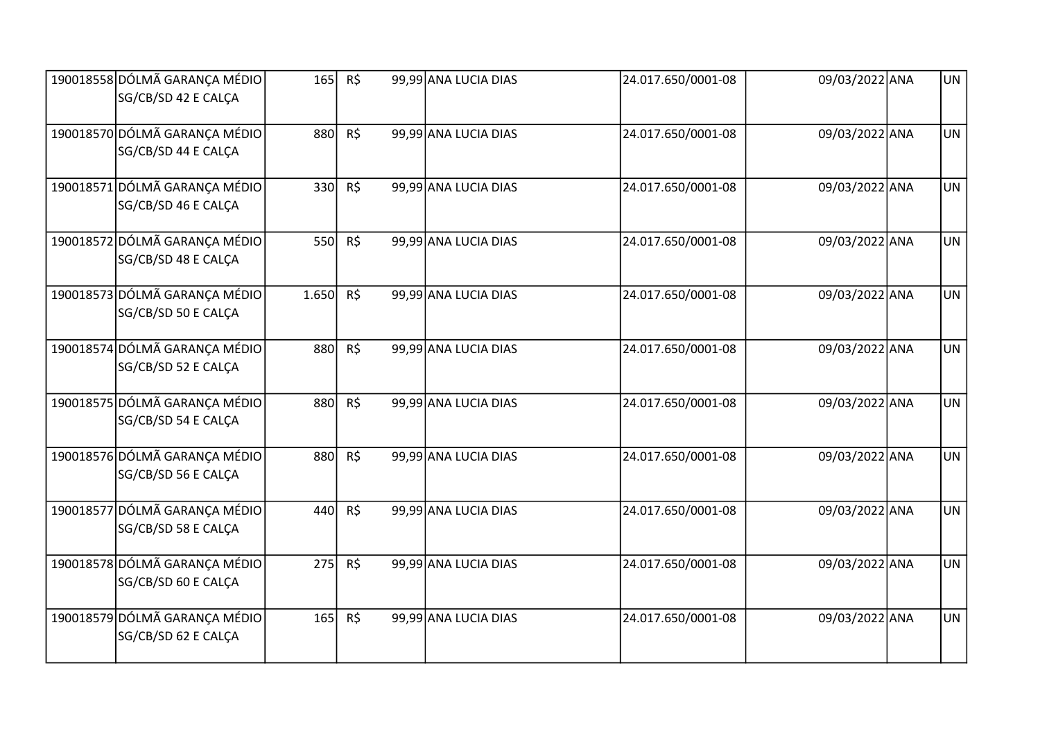| 190018558 DÓLMÃ GARANÇA MÉDIO<br>SG/CB/SD 42 E CALÇA | 165   | $R\zeta$ | 99,99 ANA LUCIA DIAS | 24.017.650/0001-08 | 09/03/2022 ANA | <b>UN</b> |
|------------------------------------------------------|-------|----------|----------------------|--------------------|----------------|-----------|
| 190018570 DÓLMÃ GARANÇA MÉDIO<br>SG/CB/SD 44 E CALCA | 880   | R\$      | 99,99 ANA LUCIA DIAS | 24.017.650/0001-08 | 09/03/2022 ANA | <b>UN</b> |
| 190018571 DÓLMÃ GARANÇA MÉDIO<br>SG/CB/SD 46 E CALCA | 330   | R\$      | 99,99 ANA LUCIA DIAS | 24.017.650/0001-08 | 09/03/2022 ANA | <b>UN</b> |
| 190018572 DÓLMÃ GARANÇA MÉDIO<br>SG/CB/SD 48 E CALCA | 550   | $R\zeta$ | 99,99 ANA LUCIA DIAS | 24.017.650/0001-08 | 09/03/2022 ANA | <b>UN</b> |
| 190018573 DÓLMÃ GARANÇA MÉDIO<br>SG/CB/SD 50 E CALCA | 1.650 | R\$      | 99,99 ANA LUCIA DIAS | 24.017.650/0001-08 | 09/03/2022 ANA | <b>UN</b> |
| 190018574 DÓLMÃ GARANÇA MÉDIO<br>SG/CB/SD 52 E CALCA | 880   | R\$      | 99,99 ANA LUCIA DIAS | 24.017.650/0001-08 | 09/03/2022 ANA | <b>UN</b> |
| 190018575 DÓLMÃ GARANÇA MÉDIO<br>SG/CB/SD 54 E CALCA | 880   | R\$      | 99,99 ANA LUCIA DIAS | 24.017.650/0001-08 | 09/03/2022 ANA | <b>UN</b> |
| 190018576 DÓLMÃ GARANÇA MÉDIO<br>SG/CB/SD 56 E CALÇA | 880   | R\$      | 99,99 ANA LUCIA DIAS | 24.017.650/0001-08 | 09/03/2022 ANA | <b>UN</b> |
| 190018577 DÓLMÃ GARANÇA MÉDIO<br>SG/CB/SD 58 E CALCA | 440   | $R\zeta$ | 99,99 ANA LUCIA DIAS | 24.017.650/0001-08 | 09/03/2022 ANA | <b>UN</b> |
| 190018578 DÓLMÃ GARANÇA MÉDIO<br>SG/CB/SD 60 E CALCA | 275   | $R\zeta$ | 99,99 ANA LUCIA DIAS | 24.017.650/0001-08 | 09/03/2022 ANA | <b>UN</b> |
| 190018579 DÓLMÃ GARANÇA MÉDIO<br>SG/CB/SD 62 E CALCA | 165   | $R\zeta$ | 99,99 ANA LUCIA DIAS | 24.017.650/0001-08 | 09/03/2022 ANA | <b>UN</b> |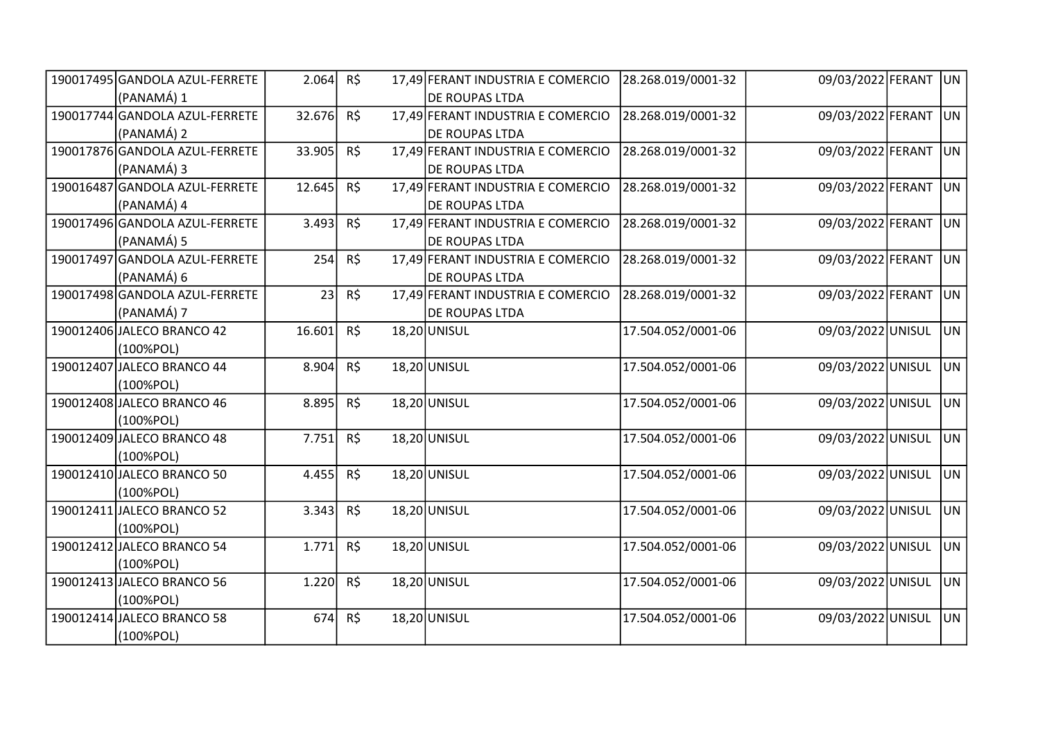| 190017495 GANDOLA AZUL-FERRETE | 2.064  | R\$      | 17,49 FERANT INDUSTRIA E COMERCIO | 28.268.019/0001-32 | 09/03/2022 FERANT | UN             |
|--------------------------------|--------|----------|-----------------------------------|--------------------|-------------------|----------------|
| (PANAMÁ) 1                     |        |          | <b>DE ROUPAS LTDA</b>             |                    |                   |                |
| 190017744 GANDOLA AZUL-FERRETE | 32.676 | $R\zeta$ | 17,49 FERANT INDUSTRIA E COMERCIO | 28.268.019/0001-32 | 09/03/2022 FERANT | UN             |
| (PANAMÁ) 2                     |        |          | <b>DE ROUPAS LTDA</b>             |                    |                   |                |
| 190017876 GANDOLA AZUL-FERRETE | 33.905 | R\$      | 17,49 FERANT INDUSTRIA E COMERCIO | 28.268.019/0001-32 | 09/03/2022 FERANT | UN             |
| (PANAMÁ) 3                     |        |          | <b>DE ROUPAS LTDA</b>             |                    |                   |                |
| 190016487 GANDOLA AZUL-FERRETE | 12.645 | $R\zeta$ | 17,49 FERANT INDUSTRIA E COMERCIO | 28.268.019/0001-32 | 09/03/2022 FERANT | U <sub>N</sub> |
| (PANAMÁ) 4                     |        |          | DE ROUPAS LTDA                    |                    |                   |                |
| 190017496 GANDOLA AZUL-FERRETE | 3.493  | R\$      | 17,49 FERANT INDUSTRIA E COMERCIO | 28.268.019/0001-32 | 09/03/2022 FERANT | UN             |
| (PANAMÁ) 5                     |        |          | <b>DE ROUPAS LTDA</b>             |                    |                   |                |
| 190017497 GANDOLA AZUL-FERRETE | 254    | R\$      | 17,49 FERANT INDUSTRIA E COMERCIO | 28.268.019/0001-32 | 09/03/2022 FERANT | UN             |
| (PANAMÁ) 6                     |        |          | <b>DE ROUPAS LTDA</b>             |                    |                   |                |
| 190017498 GANDOLA AZUL-FERRETE | 23     | R\$      | 17,49 FERANT INDUSTRIA E COMERCIO | 28.268.019/0001-32 | 09/03/2022 FERANT | UN             |
| (PANAMÁ) 7                     |        |          | <b>DE ROUPAS LTDA</b>             |                    |                   |                |
| 190012406 JALECO BRANCO 42     | 16.601 | R\$      | 18,20 UNISUL                      | 17.504.052/0001-06 | 09/03/2022 UNISUL | UN.            |
| (100%POL)                      |        |          |                                   |                    |                   |                |
| 190012407 JALECO BRANCO 44     | 8.904  | R\$      | 18,20 UNISUL                      | 17.504.052/0001-06 | 09/03/2022 UNISUL | UN.            |
| (100%POL)                      |        |          |                                   |                    |                   |                |
| 190012408 JALECO BRANCO 46     | 8.895  | R\$      | 18,20 UNISUL                      | 17.504.052/0001-06 | 09/03/2022 UNISUL | UN.            |
| (100%POL)                      |        |          |                                   |                    |                   |                |
| 190012409 JALECO BRANCO 48     | 7.751  | R\$      | 18,20 UNISUL                      | 17.504.052/0001-06 | 09/03/2022 UNISUL | UN.            |
| (100%POL)                      |        |          |                                   |                    |                   |                |
| 190012410 JALECO BRANCO 50     | 4.455  | R\$      | 18,20 UNISUL                      | 17.504.052/0001-06 | 09/03/2022 UNISUL | UN.            |
| (100%POL)                      |        |          |                                   |                    |                   |                |
| 190012411 JALECO BRANCO 52     | 3.343  | $R\zeta$ | 18,20 UNISUL                      | 17.504.052/0001-06 | 09/03/2022 UNISUL | lun            |
| (100%POL)                      |        |          |                                   |                    |                   |                |
| 190012412 JALECO BRANCO 54     | 1.771  | R\$      | 18,20 UNISUL                      | 17.504.052/0001-06 | 09/03/2022 UNISUL | lun.           |
| (100%POL)                      |        |          |                                   |                    |                   |                |
| 190012413 JALECO BRANCO 56     | 1.220  | $R\zeta$ | 18,20 UNISUL                      | 17.504.052/0001-06 | 09/03/2022 UNISUL | UN.            |
| (100%POL)                      |        |          |                                   |                    |                   |                |
| 190012414 JALECO BRANCO 58     | 674    | $R\zeta$ | 18,20 UNISUL                      | 17.504.052/0001-06 | 09/03/2022 UNISUL | UN             |
| (100%POL)                      |        |          |                                   |                    |                   |                |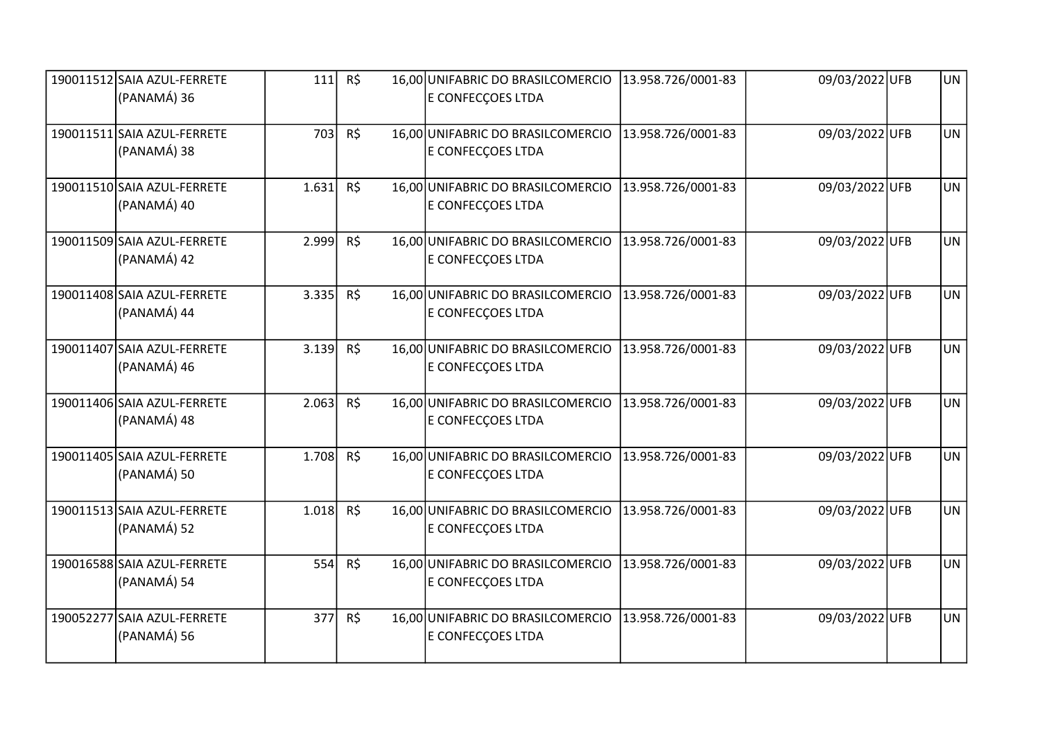| 190011512 SAIA AZUL-FERRETE<br>(PANAMÁ) 36 | 111   | R\$      | 16,00 UNIFABRIC DO BRASILCOMERCIO<br>E CONFECÇOES LTDA | 13.958.726/0001-83 | 09/03/2022 UFB | <b>UN</b> |
|--------------------------------------------|-------|----------|--------------------------------------------------------|--------------------|----------------|-----------|
|                                            |       |          |                                                        |                    |                |           |
| 190011511 SAIA AZUL-FERRETE                | 703   | R\$      | 16,00 UNIFABRIC DO BRASILCOMERCIO                      | 13.958.726/0001-83 | 09/03/2022UFB  | <b>UN</b> |
| (PANAMÁ) 38                                |       |          | E CONFECÇOES LTDA                                      |                    |                |           |
| 190011510 SAIA AZUL-FERRETE                | 1.631 | R\$      | 16,00 UNIFABRIC DO BRASILCOMERCIO                      | 13.958.726/0001-83 | 09/03/2022UFB  | <b>UN</b> |
| (PANAMÁ) 40                                |       |          | E CONFECÇOES LTDA                                      |                    |                |           |
| 190011509 SAIA AZUL-FERRETE                | 2.999 | R\$      | 16,00 UNIFABRIC DO BRASILCOMERCIO                      | 13.958.726/0001-83 | 09/03/2022UFB  | <b>UN</b> |
| (PANAMÁ) 42                                |       |          | E CONFECÇOES LTDA                                      |                    |                |           |
| 190011408 SAIA AZUL-FERRETE                | 3.335 | $R\zeta$ | 16,00 UNIFABRIC DO BRASILCOMERCIO                      | 13.958.726/0001-83 | 09/03/2022UFB  | <b>UN</b> |
| (PANAMÁ) 44                                |       |          | E CONFECÇOES LTDA                                      |                    |                |           |
| 190011407 SAIA AZUL-FERRETE                | 3.139 | $R\zeta$ | 16,00 UNIFABRIC DO BRASILCOMERCIO                      | 13.958.726/0001-83 | 09/03/2022UFB  | <b>UN</b> |
| (PANAMÁ) 46                                |       |          | E CONFECÇOES LTDA                                      |                    |                |           |
| 190011406 SAIA AZUL-FERRETE                | 2.063 | $R\zeta$ | 16,00 UNIFABRIC DO BRASILCOMERCIO                      | 13.958.726/0001-83 | 09/03/2022UFB  | UN.       |
| (PANAMÁ) 48                                |       |          | E CONFECÇOES LTDA                                      |                    |                |           |
| 190011405 SAIA AZUL-FERRETE                | 1.708 | R\$      | 16,00 UNIFABRIC DO BRASILCOMERCIO                      | 13.958.726/0001-83 | 09/03/2022UFB  | <b>UN</b> |
| (PANAMÁ) 50                                |       |          | E CONFECÇOES LTDA                                      |                    |                |           |
| 190011513 SAIA AZUL-FERRETE                | 1.018 | R\$      | 16,00 UNIFABRIC DO BRASILCOMERCIO                      | 13.958.726/0001-83 | 09/03/2022UFB  | <b>UN</b> |
| (PANAMÁ) 52                                |       |          | E CONFECÇOES LTDA                                      |                    |                |           |
| 190016588 SAIA AZUL-FERRETE                | 554   | R\$      | 16,00 UNIFABRIC DO BRASILCOMERCIO                      | 13.958.726/0001-83 | 09/03/2022 UFB | <b>UN</b> |
| (PANAMÁ) 54                                |       |          | E CONFECÇOES LTDA                                      |                    |                |           |
| 190052277 SAIA AZUL-FERRETE                | 377   | $R\zeta$ | 16,00 UNIFABRIC DO BRASILCOMERCIO                      | 13.958.726/0001-83 | 09/03/2022UFB  | <b>UN</b> |
| (PANAMÁ) 56                                |       |          | E CONFECÇOES LTDA                                      |                    |                |           |
|                                            |       |          |                                                        |                    |                |           |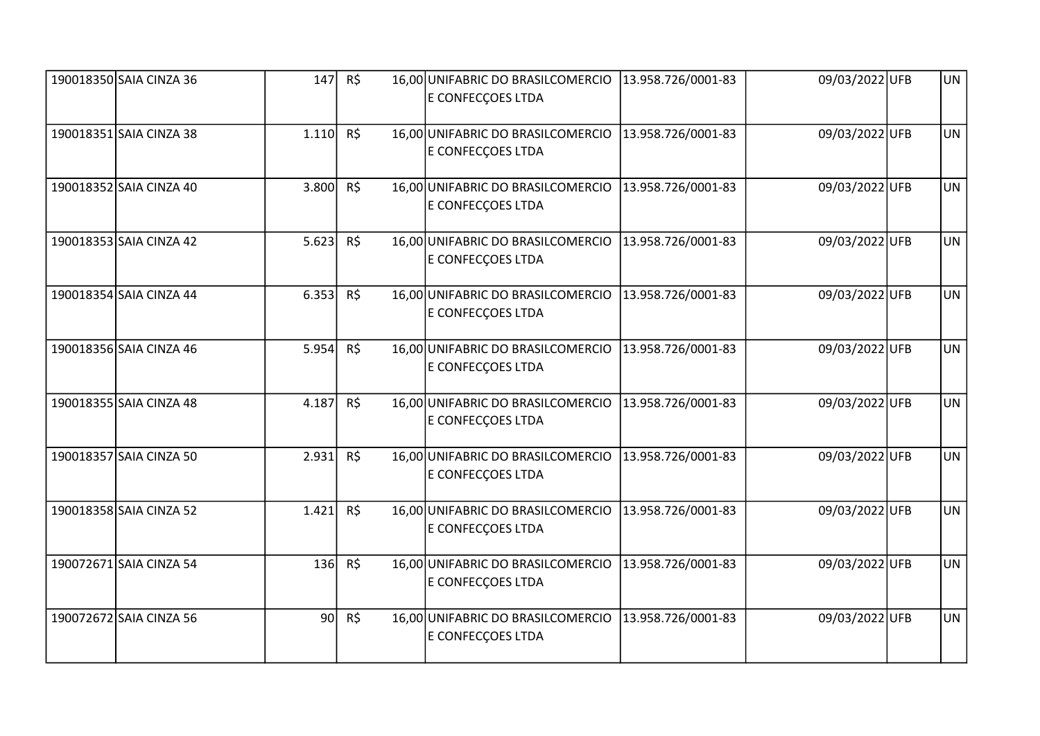| 190018350 SAIA CINZA 36 | 147             | R\$      | 16,00 UNIFABRIC DO BRASILCOMERCIO<br>E CONFECCOES LTDA | 13.958.726/0001-83 | 09/03/2022 UFB | <b>UN</b> |
|-------------------------|-----------------|----------|--------------------------------------------------------|--------------------|----------------|-----------|
| 190018351 SAIA CINZA 38 | 1.110           | R\$      | 16,00 UNIFABRIC DO BRASILCOMERCIO<br>E CONFECÇOES LTDA | 13.958.726/0001-83 | 09/03/2022 UFB | <b>UN</b> |
| 190018352 SAIA CINZA 40 | 3.800           | R\$      | 16,00 UNIFABRIC DO BRASILCOMERCIO<br>E CONFECÇOES LTDA | 13.958.726/0001-83 | 09/03/2022UFB  | <b>UN</b> |
| 190018353 SAIA CINZA 42 | 5.623           | R\$      | 16,00 UNIFABRIC DO BRASILCOMERCIO<br>E CONFECÇOES LTDA | 13.958.726/0001-83 | 09/03/2022UFB  | <b>UN</b> |
| 190018354 SAIA CINZA 44 | 6.353           | R\$      | 16,00 UNIFABRIC DO BRASILCOMERCIO<br>E CONFECÇOES LTDA | 13.958.726/0001-83 | 09/03/2022UFB  | <b>UN</b> |
| 190018356 SAIA CINZA 46 | 5.954           | R\$      | 16,00 UNIFABRIC DO BRASILCOMERCIO<br>E CONFECÇOES LTDA | 13.958.726/0001-83 | 09/03/2022UFB  | <b>UN</b> |
| 190018355 SAIA CINZA 48 | 4.187           | R\$      | 16,00 UNIFABRIC DO BRASILCOMERCIO<br>E CONFECÇOES LTDA | 13.958.726/0001-83 | 09/03/2022UFB  | <b>UN</b> |
| 190018357 SAIA CINZA 50 | 2.931           | R\$      | 16,00 UNIFABRIC DO BRASILCOMERCIO<br>E CONFECÇOES LTDA | 13.958.726/0001-83 | 09/03/2022UFB  | <b>UN</b> |
| 190018358 SAIA CINZA 52 | 1.421           | R\$      | 16,00 UNIFABRIC DO BRASILCOMERCIO<br>E CONFECÇOES LTDA | 13.958.726/0001-83 | 09/03/2022UFB  | <b>UN</b> |
| 190072671 SAIA CINZA 54 | 136             | $R\zeta$ | 16,00 UNIFABRIC DO BRASILCOMERCIO<br>E CONFECÇOES LTDA | 13.958.726/0001-83 | 09/03/2022 UFB | <b>UN</b> |
| 190072672 SAIA CINZA 56 | 90 <sup>1</sup> | R\$      | 16,00 UNIFABRIC DO BRASILCOMERCIO<br>E CONFECÇOES LTDA | 13.958.726/0001-83 | 09/03/2022 UFB | <b>UN</b> |